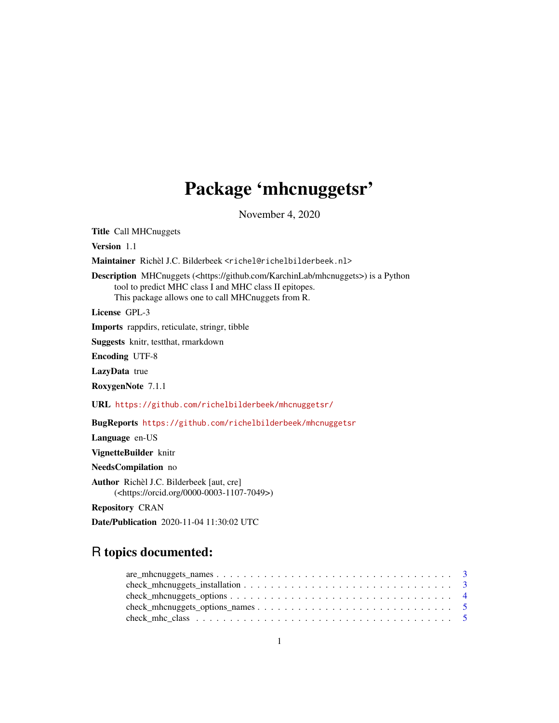# Package 'mhcnuggetsr'

November 4, 2020

<span id="page-0-0"></span>Title Call MHCnuggets Version 1.1 Maintainer Richèl J.C. Bilderbeek <richel@richelbilderbeek.nl> Description MHCnuggets (<https://github.com/KarchinLab/mhcnuggets>) is a Python tool to predict MHC class I and MHC class II epitopes. This package allows one to call MHCnuggets from R. License GPL-3 Imports rappdirs, reticulate, stringr, tibble Suggests knitr, testthat, rmarkdown Encoding UTF-8 LazyData true RoxygenNote 7.1.1 URL <https://github.com/richelbilderbeek/mhcnuggetsr/> BugReports <https://github.com/richelbilderbeek/mhcnuggetsr> Language en-US VignetteBuilder knitr NeedsCompilation no Author Richèl J.C. Bilderbeek [aut, cre] (<https://orcid.org/0000-0003-1107-7049>) Repository CRAN Date/Publication 2020-11-04 11:30:02 UTC

# R topics documented: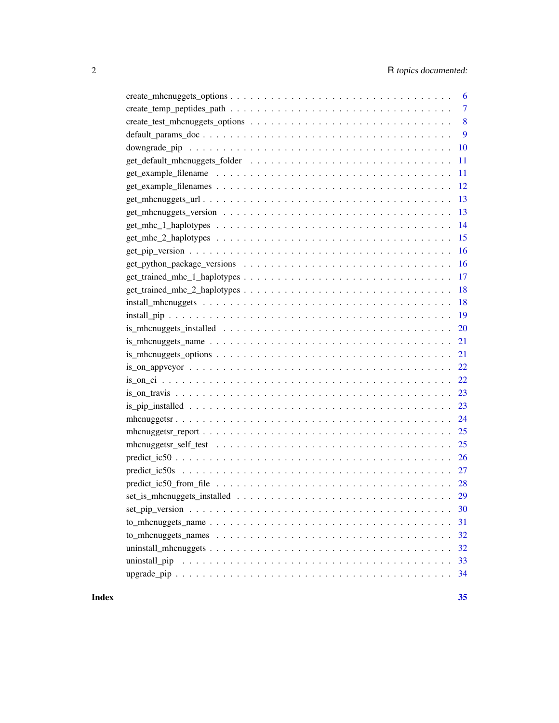| 6                                                                                                                       |
|-------------------------------------------------------------------------------------------------------------------------|
| $\overline{7}$                                                                                                          |
| 8                                                                                                                       |
| 9                                                                                                                       |
| 10                                                                                                                      |
| 11                                                                                                                      |
| 11                                                                                                                      |
| 12                                                                                                                      |
| 13                                                                                                                      |
| 13                                                                                                                      |
| 14                                                                                                                      |
| 15                                                                                                                      |
| 16                                                                                                                      |
| 16                                                                                                                      |
| 17                                                                                                                      |
| 18                                                                                                                      |
| 18                                                                                                                      |
|                                                                                                                         |
| 20                                                                                                                      |
| $is\_mhcnuggests\_name \dots \dots \dots \dots \dots \dots \dots \dots \dots \dots \dots \dots \dots \dots \dots$<br>21 |
| 21                                                                                                                      |
|                                                                                                                         |
|                                                                                                                         |
|                                                                                                                         |
|                                                                                                                         |
| 24                                                                                                                      |
| 25                                                                                                                      |
| 25                                                                                                                      |
|                                                                                                                         |
|                                                                                                                         |
|                                                                                                                         |
|                                                                                                                         |
| 30                                                                                                                      |
| 31                                                                                                                      |
| 32                                                                                                                      |
| 32                                                                                                                      |
| 33                                                                                                                      |
| 34                                                                                                                      |

#### **Index** [35](#page-34-0)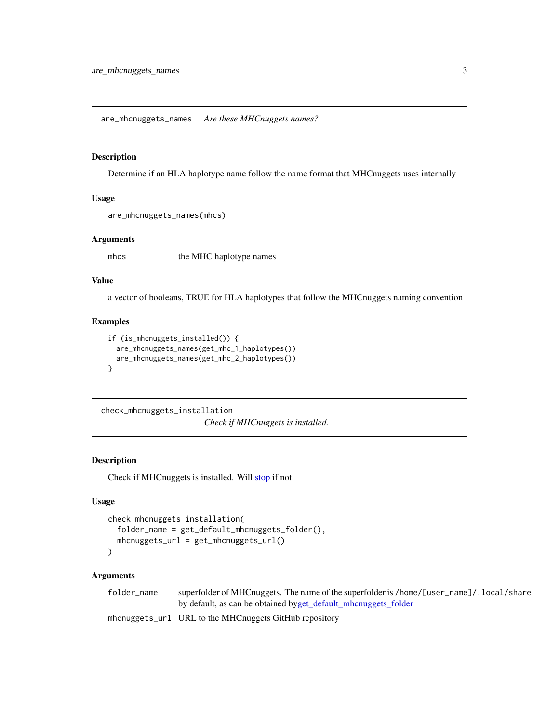<span id="page-2-0"></span>are\_mhcnuggets\_names *Are these MHCnuggets names?*

#### Description

Determine if an HLA haplotype name follow the name format that MHCnuggets uses internally

#### Usage

```
are_mhcnuggets_names(mhcs)
```
## Arguments

mhcs the MHC haplotype names

#### Value

a vector of booleans, TRUE for HLA haplotypes that follow the MHCnuggets naming convention

## Examples

```
if (is_mhcnuggets_installed()) {
  are_mhcnuggets_names(get_mhc_1_haplotypes())
  are_mhcnuggets_names(get_mhc_2_haplotypes())
}
```
check\_mhcnuggets\_installation *Check if MHCnuggets is installed.*

#### Description

Check if MHCnuggets is installed. Will [stop](#page-0-0) if not.

## Usage

```
check_mhcnuggets_installation(
  folder_name = get_default_mhcnuggets_folder(),
 mhcnuggets_url = get_mhcnuggets_url()
)
```
#### Arguments

| folder name | superfolder of MHCnuggets. The name of the superfolder is /home/[user_name]/. local/share |
|-------------|-------------------------------------------------------------------------------------------|
|             | by default, as can be obtained byget_default_mhcnuggets_folder                            |
|             | mhcnuggets_url URL to the MHCnuggets GitHub repository                                    |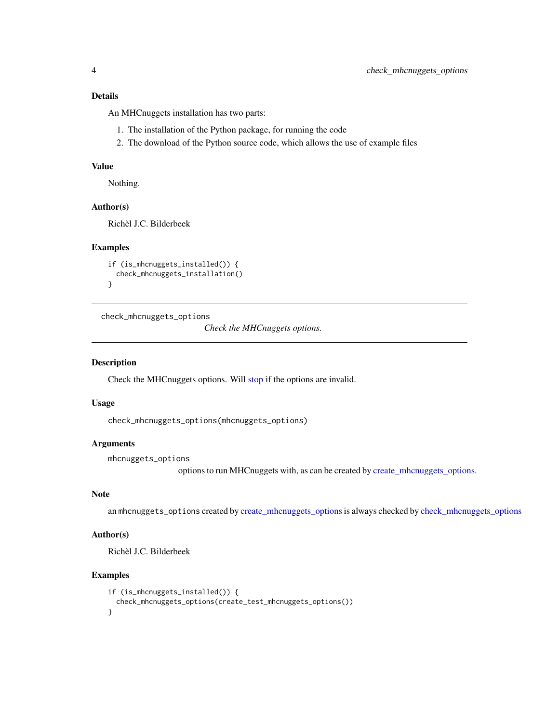#### <span id="page-3-0"></span>Details

An MHCnuggets installation has two parts:

- 1. The installation of the Python package, for running the code
- 2. The download of the Python source code, which allows the use of example files

#### Value

Nothing.

#### Author(s)

Richèl J.C. Bilderbeek

#### Examples

```
if (is_mhcnuggets_installed()) {
 check_mhcnuggets_installation()
}
```
<span id="page-3-1"></span>check\_mhcnuggets\_options

*Check the MHCnuggets options.*

#### Description

Check the MHCnuggets options. Will [stop](#page-0-0) if the options are invalid.

#### Usage

check\_mhcnuggets\_options(mhcnuggets\_options)

#### Arguments

mhcnuggets\_options

options to run MHCnuggets with, as can be created by [create\\_mhcnuggets\\_options.](#page-5-1)

#### Note

an mhcnuggets\_options created by [create\\_mhcnuggets\\_options](#page-5-1) is always checked by [check\\_mhcnuggets\\_options](#page-3-1)

#### Author(s)

Richèl J.C. Bilderbeek

#### Examples

```
if (is_mhcnuggets_installed()) {
 check_mhcnuggets_options(create_test_mhcnuggets_options())
}
```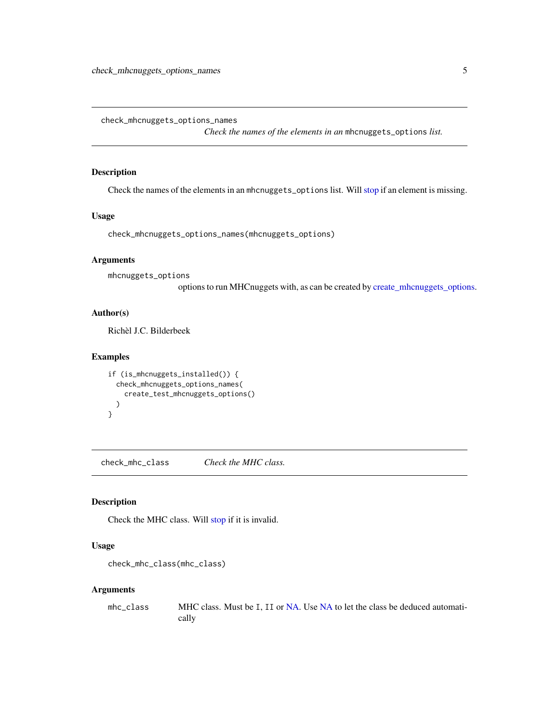<span id="page-4-0"></span>check\_mhcnuggets\_options\_names

*Check the names of the elements in an* mhcnuggets\_options *list.*

#### Description

Check the names of the elements in an mhcnuggets\_options list. Will [stop](#page-0-0) if an element is missing.

#### Usage

check\_mhcnuggets\_options\_names(mhcnuggets\_options)

#### Arguments

mhcnuggets\_options

options to run MHCnuggets with, as can be created by [create\\_mhcnuggets\\_options.](#page-5-1)

#### Author(s)

Richèl J.C. Bilderbeek

#### Examples

```
if (is_mhcnuggets_installed()) {
 check_mhcnuggets_options_names(
   create_test_mhcnuggets_options()
 )
}
```
check\_mhc\_class *Check the MHC class.*

## Description

Check the MHC class. Will [stop](#page-0-0) if it is invalid.

#### Usage

```
check_mhc_class(mhc_class)
```
#### Arguments

mhc\_class MHC class. Must be I, II or [NA.](#page-0-0) Use [NA](#page-0-0) to let the class be deduced automatically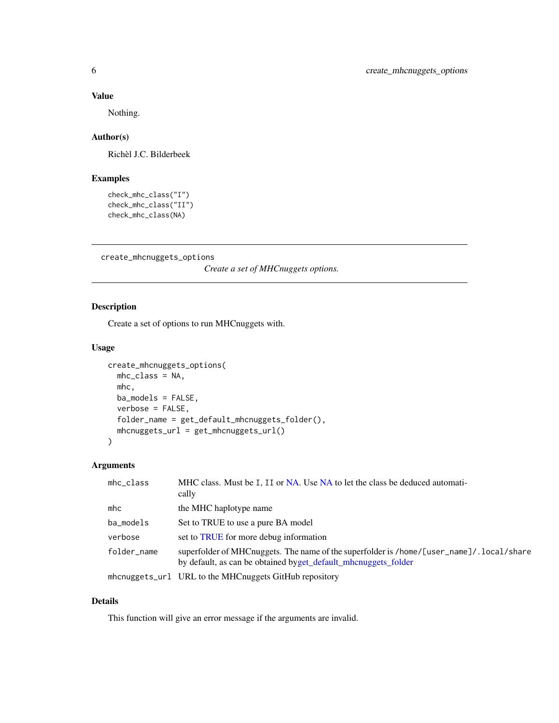#### <span id="page-5-0"></span>Value

Nothing.

## Author(s)

Richèl J.C. Bilderbeek

#### Examples

```
check_mhc_class("I")
check_mhc_class("II")
check_mhc_class(NA)
```
<span id="page-5-1"></span>create\_mhcnuggets\_options

*Create a set of MHCnuggets options.*

## Description

Create a set of options to run MHCnuggets with.

## Usage

```
create_mhcnuggets_options(
 mhc_class = NA,
 mhc,
 ba_models = FALSE,
 verbose = FALSE,
  folder_name = get_default_mhcnuggets_folder(),
 mhcnuggets_url = get_mhcnuggets_url()
\mathcal{L}
```
#### Arguments

| $m$ hc_class | MHC class. Must be I, II or NA. Use NA to let the class be deduced automati-<br>cally                                                                       |
|--------------|-------------------------------------------------------------------------------------------------------------------------------------------------------------|
| mhc          | the MHC haplotype name                                                                                                                                      |
| ba_models    | Set to TRUE to use a pure BA model                                                                                                                          |
| verbose      | set to TRUE for more debug information                                                                                                                      |
| folder_name  | superfolder of MHCnuggets. The name of the superfolder is /home/[user_name]/. local/share<br>by default, as can be obtained byget_default_mhcnuggets_folder |
|              | mhcnuggets_url URL to the MHCnuggets GitHub repository                                                                                                      |

## Details

This function will give an error message if the arguments are invalid.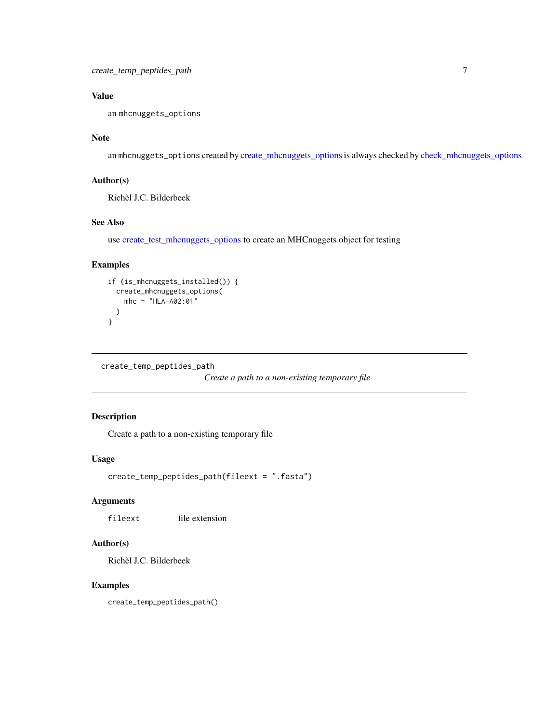## <span id="page-6-0"></span>Value

an mhcnuggets\_options

## Note

an mhcnuggets\_options created by [create\\_mhcnuggets\\_options](#page-5-1)is always checked by [check\\_mhcnuggets\\_options](#page-3-1)

## Author(s)

Richèl J.C. Bilderbeek

## See Also

use [create\\_test\\_mhcnuggets\\_options](#page-7-1) to create an MHCnuggets object for testing

## Examples

```
if (is_mhcnuggets_installed()) {
 create_mhcnuggets_options(
   mhc = "HLA-A02:01"
 )
}
```
create\_temp\_peptides\_path

*Create a path to a non-existing temporary file*

## Description

Create a path to a non-existing temporary file

#### Usage

```
create_temp_peptides_path(fileext = ".fasta")
```
#### Arguments

fileext file extension

## Author(s)

Richèl J.C. Bilderbeek

#### Examples

create\_temp\_peptides\_path()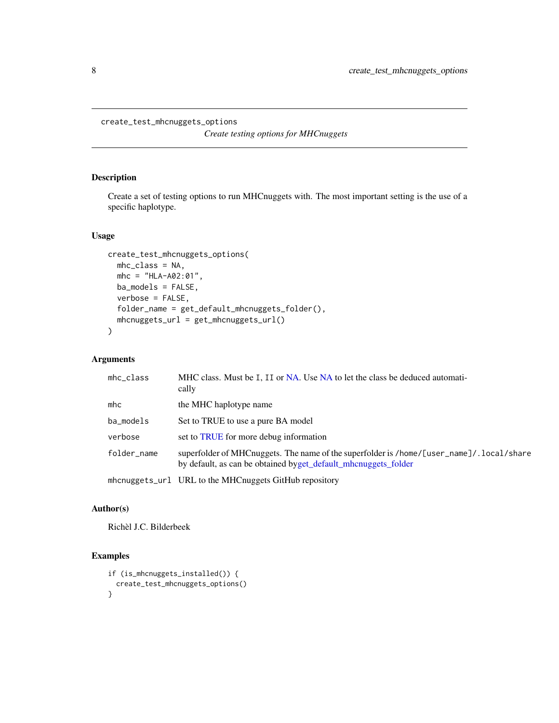#### <span id="page-7-1"></span><span id="page-7-0"></span>create\_test\_mhcnuggets\_options

*Create testing options for MHCnuggets*

## Description

Create a set of testing options to run MHCnuggets with. The most important setting is the use of a specific haplotype.

## Usage

```
create_test_mhcnuggets_options(
 mhc_class = NA,
 mhc = "HLA-A02:01",ba_models = FALSE,
 verbose = FALSE,
  folder_name = get_default_mhcnuggets_folder(),
 mhcnuggets_url = get_mhcnuggets_url()
)
```
## Arguments

| $m$ hc_class         | MHC class. Must be I, II or NA. Use NA to let the class be deduced automati-<br>cally                                                                      |
|----------------------|------------------------------------------------------------------------------------------------------------------------------------------------------------|
| $m$ <sub>h</sub> $c$ | the MHC haplotype name                                                                                                                                     |
| ba_models            | Set to TRUE to use a pure BA model                                                                                                                         |
| verbose              | set to TRUE for more debug information                                                                                                                     |
| folder_name          | superfolder of MHCnuggets. The name of the superfolder is /home/[user_name]/.local/share<br>by default, as can be obtained byget_default_mhcnuggets_folder |
|                      | mhcnuggets_url URL to the MHCnuggets GitHub repository                                                                                                     |

#### Author(s)

Richèl J.C. Bilderbeek

## Examples

```
if (is_mhcnuggets_installed()) {
 create_test_mhcnuggets_options()
}
```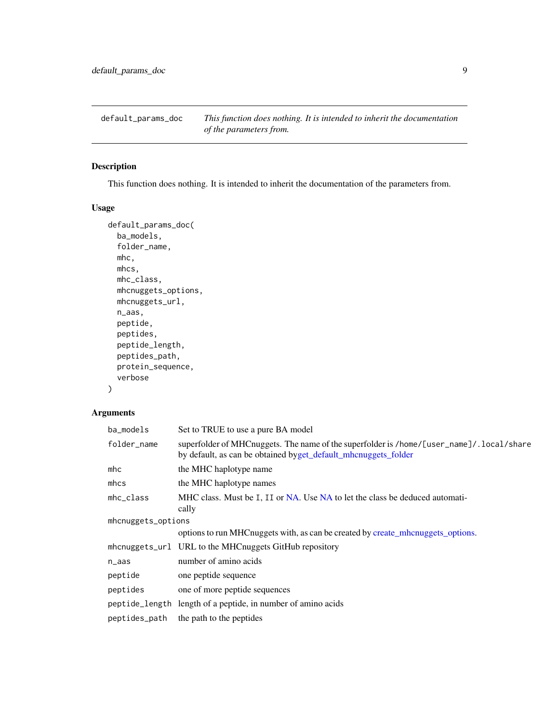<span id="page-8-0"></span>default\_params\_doc *This function does nothing. It is intended to inherit the documentation of the parameters from.*

## Description

This function does nothing. It is intended to inherit the documentation of the parameters from.

## Usage

```
default_params_doc(
  ba_models,
  folder_name,
 mhc,
 mhcs,
 mhc_class,
 mhcnuggets_options,
 mhcnuggets_url,
 n_aas,
  peptide,
 peptides,
 peptide_length,
 peptides_path,
 protein_sequence,
  verbose
\mathcal{E}
```
#### Arguments

| ba_models          | Set to TRUE to use a pure BA model                                                                                                                         |
|--------------------|------------------------------------------------------------------------------------------------------------------------------------------------------------|
| folder_name        | superfolder of MHCnuggets. The name of the superfolder is /home/[user_name]/.local/share<br>by default, as can be obtained byget_default_mhcnuggets_folder |
| $m$ hc             | the MHC haplotype name                                                                                                                                     |
| mhcs               | the MHC haplotype names                                                                                                                                    |
| $m$ hc_class       | MHC class. Must be I, II or NA. Use NA to let the class be deduced automati-<br>cally                                                                      |
| mhcnuggets_options |                                                                                                                                                            |
|                    | options to run MHC nuggets with, as can be created by create_mhc nuggets_options.                                                                          |
|                    | mhcnuggets_url URL to the MHCnuggets GitHub repository                                                                                                     |
| n_aas              | number of amino acids                                                                                                                                      |
| peptide            | one peptide sequence                                                                                                                                       |
| peptides           | one of more peptide sequences                                                                                                                              |
|                    | peptide_length length of a peptide, in number of amino acids                                                                                               |
| peptides_path      | the path to the peptides                                                                                                                                   |
|                    |                                                                                                                                                            |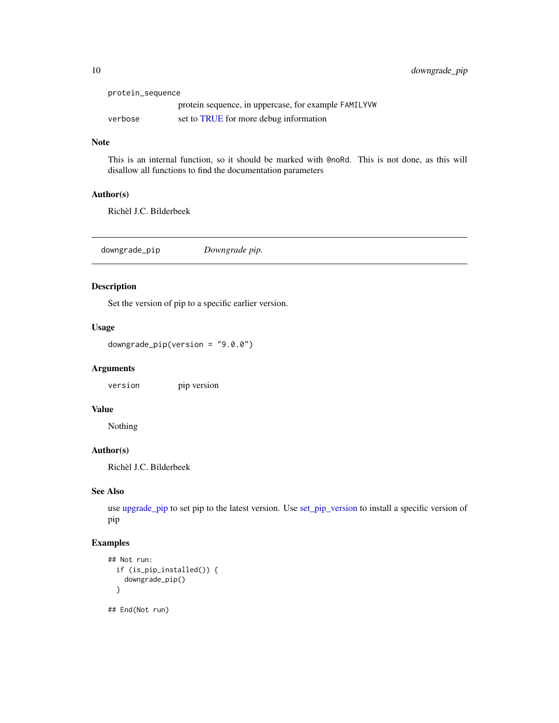<span id="page-9-0"></span>

| protein_sequence |                                                      |
|------------------|------------------------------------------------------|
|                  | protein sequence, in uppercase, for example FAMILYVW |
| verbose          | set to TRUE for more debug information               |

#### Note

This is an internal function, so it should be marked with @noRd. This is not done, as this will disallow all functions to find the documentation parameters

#### Author(s)

Richèl J.C. Bilderbeek

<span id="page-9-1"></span>downgrade\_pip *Downgrade pip.*

## Description

Set the version of pip to a specific earlier version.

## Usage

downgrade\_pip(version = "9.0.0")

#### Arguments

version pip version

## Value

Nothing

#### Author(s)

Richèl J.C. Bilderbeek

## See Also

use [upgrade\\_pip](#page-33-1) to set pip to the latest version. Use [set\\_pip\\_version](#page-29-1) to install a specific version of pip

## Examples

```
## Not run:
 if (is_pip_installed()) {
   downgrade_pip()
 }
```
## End(Not run)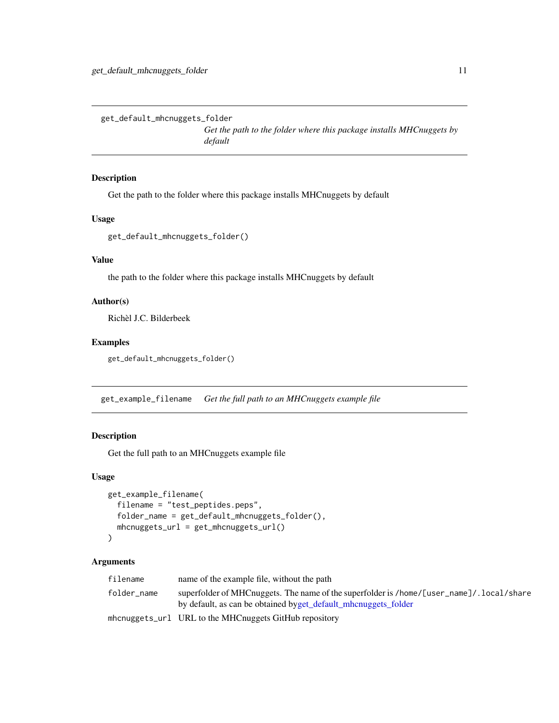<span id="page-10-1"></span><span id="page-10-0"></span>get\_default\_mhcnuggets\_folder

*Get the path to the folder where this package installs MHCnuggets by default*

#### Description

Get the path to the folder where this package installs MHCnuggets by default

#### Usage

get\_default\_mhcnuggets\_folder()

#### Value

the path to the folder where this package installs MHCnuggets by default

## Author(s)

Richèl J.C. Bilderbeek

#### Examples

get\_default\_mhcnuggets\_folder()

<span id="page-10-2"></span>get\_example\_filename *Get the full path to an MHCnuggets example file*

#### Description

Get the full path to an MHCnuggets example file

#### Usage

```
get_example_filename(
  filename = "test_peptides.peps",
  folder_name = get_default_mhcnuggets_folder(),
 mhcnuggets_url = get_mhcnuggets_url()
\mathcal{E}
```
## Arguments

| filename    | name of the example file, without the path                                                                                                                  |
|-------------|-------------------------------------------------------------------------------------------------------------------------------------------------------------|
| folder_name | superfolder of MHCnuggets. The name of the superfolder is /home/[user_name]/. local/share<br>by default, as can be obtained byget_default_mhcnuggets_folder |
|             | mhcnuggets_url URL to the MHCnuggets GitHub repository                                                                                                      |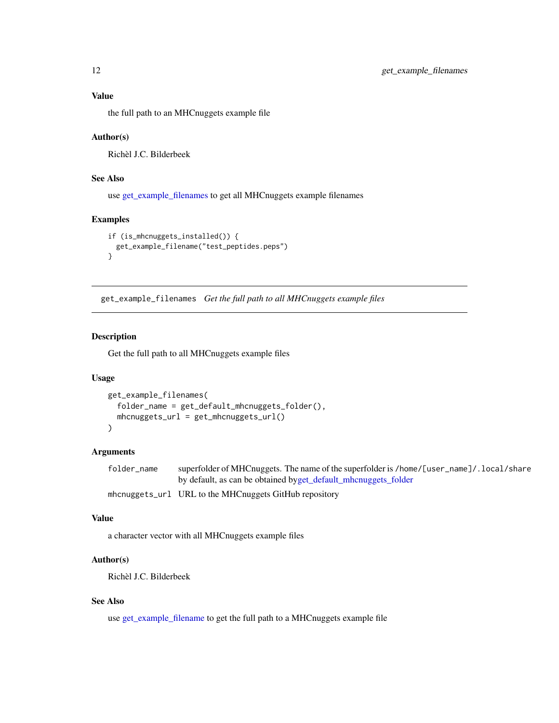<span id="page-11-0"></span>the full path to an MHCnuggets example file

#### Author(s)

Richèl J.C. Bilderbeek

#### See Also

use [get\\_example\\_filenames](#page-11-1) to get all MHCnuggets example filenames

#### Examples

```
if (is_mhcnuggets_installed()) {
 get_example_filename("test_peptides.peps")
}
```
<span id="page-11-1"></span>get\_example\_filenames *Get the full path to all MHCnuggets example files*

## Description

Get the full path to all MHCnuggets example files

#### Usage

```
get_example_filenames(
 folder_name = get_default_mhcnuggets_folder(),
 mhcnuggets_url = get_mhcnuggets_url()
)
```
## Arguments

| folder name | superfolder of MHCnuggets. The name of the superfolder is /home/[user_name]/.local/share |
|-------------|------------------------------------------------------------------------------------------|
|             | by default, as can be obtained byget default mhoning to folder                           |
|             | $m$ honu $\alpha$ $\alpha$ to $1$ UDI to the MUC nuggeste Cit Uub representative         |

#### mhcnuggets\_url URL to the MHCnuggets GitHub repository

#### Value

a character vector with all MHCnuggets example files

## Author(s)

Richèl J.C. Bilderbeek

#### See Also

use [get\\_example\\_filename](#page-10-2) to get the full path to a MHCnuggets example file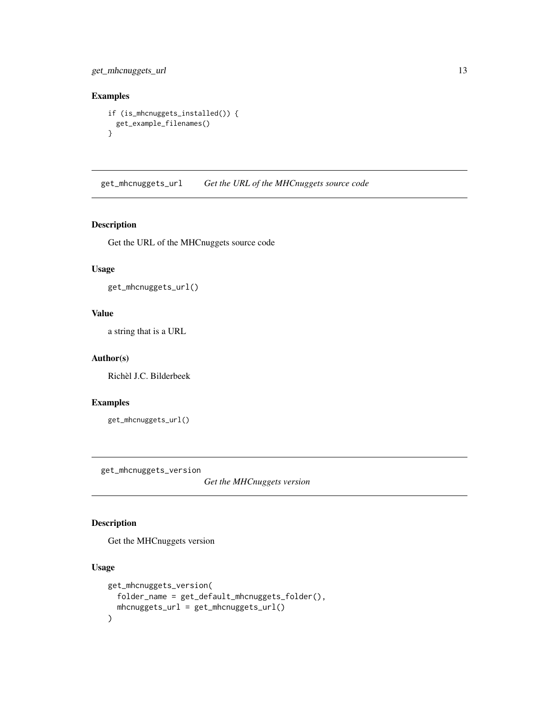<span id="page-12-0"></span>get\_mhcnuggets\_url 13

## Examples

```
if (is_mhcnuggets_installed()) {
 get_example_filenames()
}
```
get\_mhcnuggets\_url *Get the URL of the MHCnuggets source code*

## Description

Get the URL of the MHCnuggets source code

#### Usage

```
get_mhcnuggets_url()
```
#### Value

a string that is a URL

#### Author(s)

Richèl J.C. Bilderbeek

#### Examples

get\_mhcnuggets\_url()

get\_mhcnuggets\_version

*Get the MHCnuggets version*

## Description

Get the MHCnuggets version

## Usage

```
get_mhcnuggets_version(
  folder_name = get_default_mhcnuggets_folder(),
 mhcnuggets_url = get_mhcnuggets_url()
\mathcal{E}
```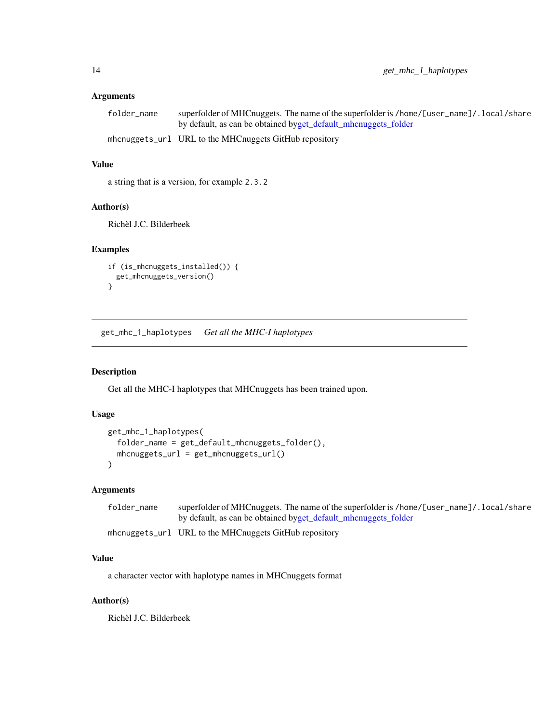## <span id="page-13-0"></span>Arguments

| folder name | superfolder of MHCnuggets. The name of the superfolder is /home/[user_name]/. local/share |
|-------------|-------------------------------------------------------------------------------------------|
|             | by default, as can be obtained byget_default_mhcnuggets_folder                            |
|             | mhcnuggets_url URL to the MHCnuggets GitHub repository                                    |

#### Value

a string that is a version, for example 2.3.2

#### Author(s)

Richèl J.C. Bilderbeek

#### Examples

```
if (is_mhcnuggets_installed()) {
 get_mhcnuggets_version()
}
```
get\_mhc\_1\_haplotypes *Get all the MHC-I haplotypes*

## Description

Get all the MHC-I haplotypes that MHCnuggets has been trained upon.

## Usage

```
get_mhc_1_haplotypes(
 folder_name = get_default_mhcnuggets_folder(),
 mhcnuggets_url = get_mhcnuggets_url()
)
```
## Arguments

| folder name | superfolder of MHCnuggets. The name of the superfolder is /home/[user_name]/.local/share |
|-------------|------------------------------------------------------------------------------------------|
|             | by default, as can be obtained byget_default_mhcnuggets_folder                           |

mhcnuggets\_url URL to the MHCnuggets GitHub repository

## Value

a character vector with haplotype names in MHCnuggets format

## Author(s)

Richèl J.C. Bilderbeek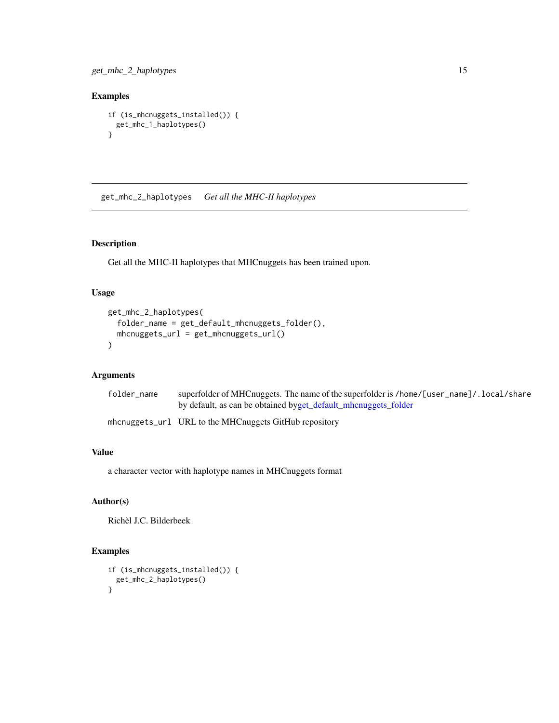<span id="page-14-0"></span>get\_mhc\_2\_haplotypes 15

## Examples

```
if (is_mhcnuggets_installed()) {
  get_mhc_1_haplotypes()
}
```
get\_mhc\_2\_haplotypes *Get all the MHC-II haplotypes*

## Description

Get all the MHC-II haplotypes that MHCnuggets has been trained upon.

#### Usage

```
get_mhc_2_haplotypes(
  folder_name = get_default_mhcnuggets_folder(),
 mhcnuggets_url = get_mhcnuggets_url()
\mathcal{L}
```
#### Arguments

| folder_name | superfolder of MHCnuggets. The name of the superfolder is /home/[user_name]/.local/share |
|-------------|------------------------------------------------------------------------------------------|
|             | by default, as can be obtained byget_default_mhcnuggets_folder                           |

mhcnuggets\_url URL to the MHCnuggets GitHub repository

## Value

a character vector with haplotype names in MHCnuggets format

## Author(s)

Richèl J.C. Bilderbeek

#### Examples

```
if (is_mhcnuggets_installed()) {
 get_mhc_2_haplotypes()
}
```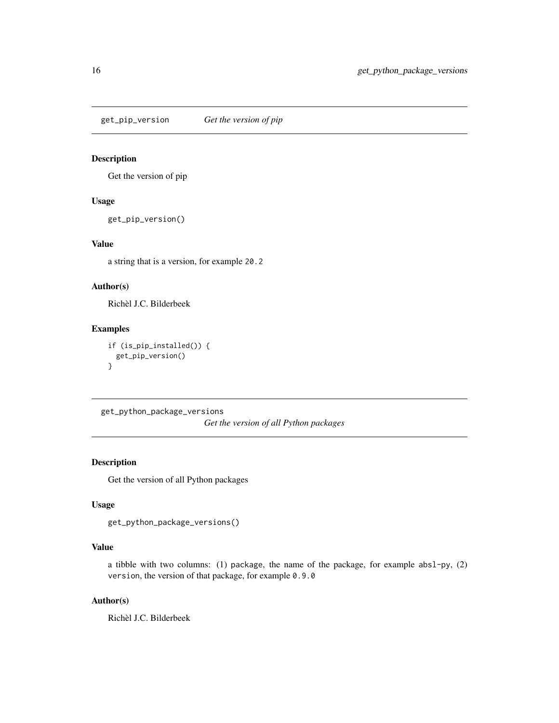<span id="page-15-0"></span>get\_pip\_version *Get the version of pip*

#### Description

Get the version of pip

#### Usage

get\_pip\_version()

#### Value

a string that is a version, for example 20.2

## Author(s)

Richèl J.C. Bilderbeek

## Examples

```
if (is_pip_installed()) {
 get_pip_version()
}
```
get\_python\_package\_versions *Get the version of all Python packages*

#### Description

Get the version of all Python packages

## Usage

```
get_python_package_versions()
```
## Value

a tibble with two columns: (1) package, the name of the package, for example absl-py, (2) version, the version of that package, for example 0.9.0

## Author(s)

Richèl J.C. Bilderbeek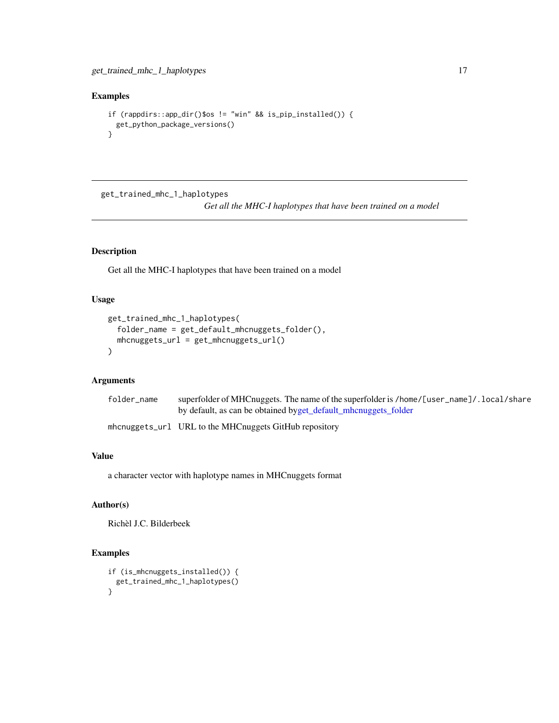## <span id="page-16-0"></span>Examples

```
if (rappdirs::app_dir()$os != "win" && is_pip_installed()) {
 get_python_package_versions()
}
```
get\_trained\_mhc\_1\_haplotypes

*Get all the MHC-I haplotypes that have been trained on a model*

## Description

Get all the MHC-I haplotypes that have been trained on a model

## Usage

```
get_trained_mhc_1_haplotypes(
  folder_name = get_default_mhcnuggets_folder(),
  mhcnuggets_url = get_mhcnuggets_url()
\mathcal{E}
```
#### Arguments

| folder_name | superfolder of MHCnuggets. The name of the superfolder is /home/[user_name]/.local/share |
|-------------|------------------------------------------------------------------------------------------|
|             | by default, as can be obtained byget_default_mhcnuggets_folder                           |

mhcnuggets\_url URL to the MHCnuggets GitHub repository

#### Value

a character vector with haplotype names in MHCnuggets format

## Author(s)

Richèl J.C. Bilderbeek

#### Examples

```
if (is_mhcnuggets_installed()) {
 get_trained_mhc_1_haplotypes()
}
```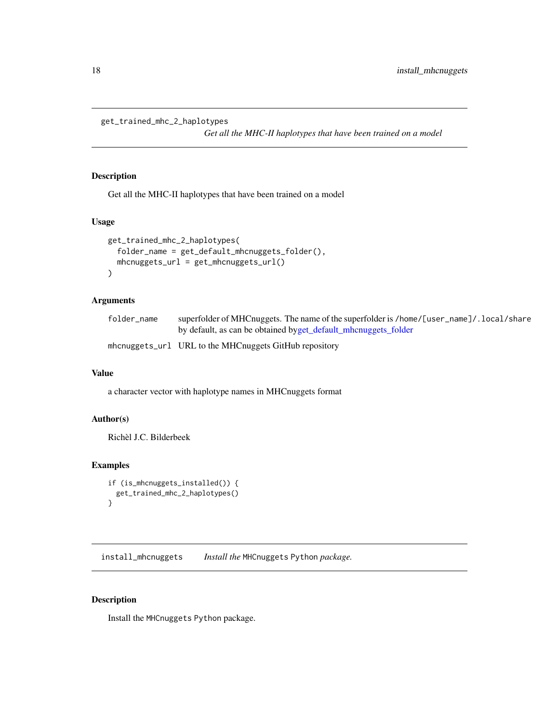<span id="page-17-0"></span>get\_trained\_mhc\_2\_haplotypes

*Get all the MHC-II haplotypes that have been trained on a model*

## Description

Get all the MHC-II haplotypes that have been trained on a model

## Usage

```
get_trained_mhc_2_haplotypes(
  folder_name = get_default_mhcnuggets_folder(),
 mhcnuggets_url = get_mhcnuggets_url()
\mathcal{E}
```
## Arguments

| folder name | superfolder of MHCnuggets. The name of the superfolder is /home/[user_name]/.local/share |
|-------------|------------------------------------------------------------------------------------------|
|             | by default, as can be obtained byget_default_mhcnuggets_folder                           |
|             | mhcnuggets_url URL to the MHCnuggets GitHub repository                                   |

## Value

a character vector with haplotype names in MHCnuggets format

#### Author(s)

Richèl J.C. Bilderbeek

#### Examples

```
if (is_mhcnuggets_installed()) {
  get_trained_mhc_2_haplotypes()
}
```
install\_mhcnuggets *Install the* MHCnuggets Python *package.*

#### Description

Install the MHCnuggets Python package.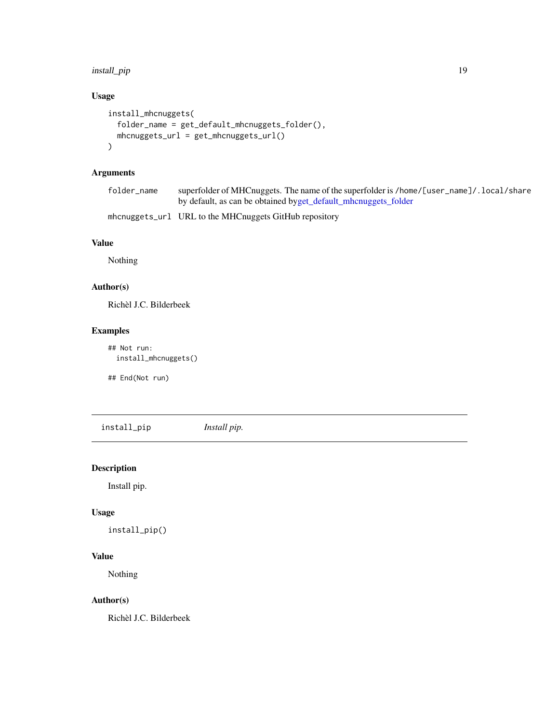## <span id="page-18-0"></span>install\_pip 19

## Usage

```
install_mhcnuggets(
  folder_name = get_default_mhcnuggets_folder(),
 mhcnuggets_url = get_mhcnuggets_url()
\mathcal{L}
```
## Arguments

| folder name | superfolder of MHCnuggets. The name of the superfolder is /home/[user_name]/. local/share |
|-------------|-------------------------------------------------------------------------------------------|
|             | by default, as can be obtained byget_default_mhcnuggets_folder                            |

```
mhcnuggets_url URL to the MHCnuggets GitHub repository
```
## Value

Nothing

## Author(s)

Richèl J.C. Bilderbeek

## Examples

```
## Not run:
 install_mhcnuggets()
```
## End(Not run)

install\_pip *Install pip.*

## Description

Install pip.

#### Usage

```
install_pip()
```
#### Value

Nothing

## Author(s)

Richèl J.C. Bilderbeek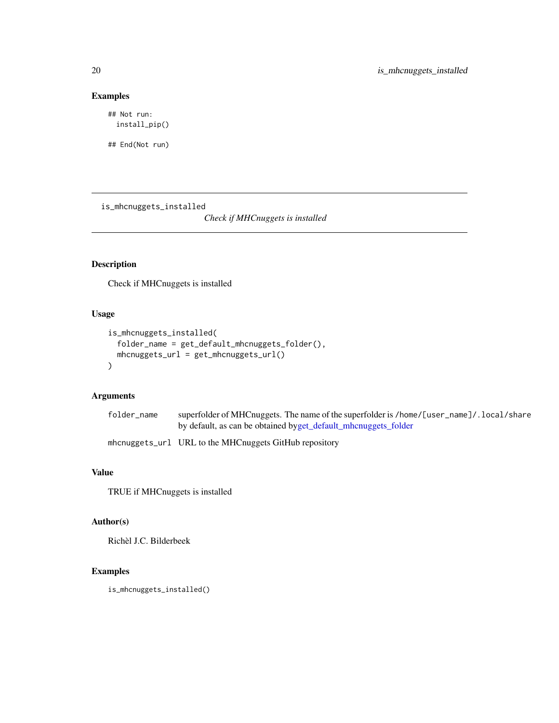## Examples

## Not run: install\_pip()

## End(Not run)

is\_mhcnuggets\_installed

*Check if MHCnuggets is installed*

## Description

Check if MHCnuggets is installed

## Usage

```
is_mhcnuggets_installed(
  folder_name = get_default_mhcnuggets_folder(),
 mhcnuggets_url = get_mhcnuggets_url()
\mathcal{L}
```
## Arguments

| folder_name | superfolder of MHCnuggets. The name of the superfolder is /home/[user_name]/.local/share |
|-------------|------------------------------------------------------------------------------------------|
|             | by default, as can be obtained byget_default_mhcnuggets_folder                           |

mhcnuggets\_url URL to the MHCnuggets GitHub repository

## Value

TRUE if MHCnuggets is installed

## Author(s)

Richèl J.C. Bilderbeek

## Examples

is\_mhcnuggets\_installed()

<span id="page-19-0"></span>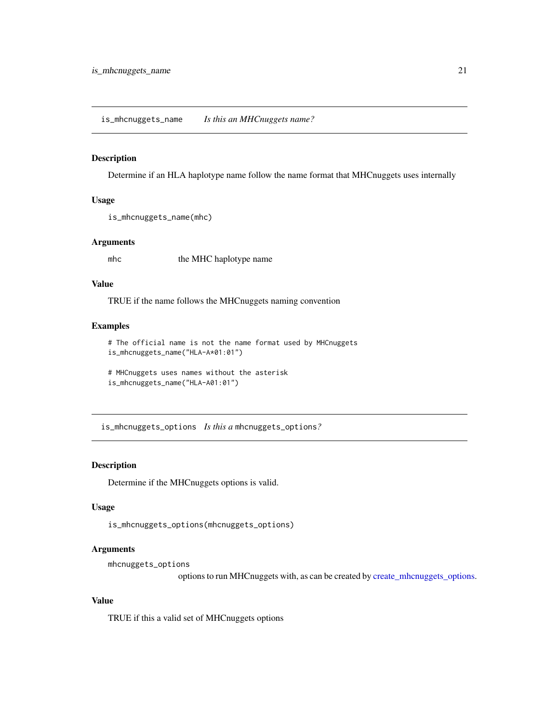#### <span id="page-20-0"></span>Description

Determine if an HLA haplotype name follow the name format that MHCnuggets uses internally

#### Usage

```
is_mhcnuggets_name(mhc)
```
#### Arguments

mhc the MHC haplotype name

#### Value

TRUE if the name follows the MHCnuggets naming convention

## Examples

```
# The official name is not the name format used by MHCnuggets
is_mhcnuggets_name("HLA-A*01:01")
```

```
# MHCnuggets uses names without the asterisk
is_mhcnuggets_name("HLA-A01:01")
```
is\_mhcnuggets\_options *Is this a* mhcnuggets\_options*?*

#### Description

Determine if the MHCnuggets options is valid.

## Usage

is\_mhcnuggets\_options(mhcnuggets\_options)

#### Arguments

mhcnuggets\_options

options to run MHCnuggets with, as can be created by [create\\_mhcnuggets\\_options.](#page-5-1)

#### Value

TRUE if this a valid set of MHCnuggets options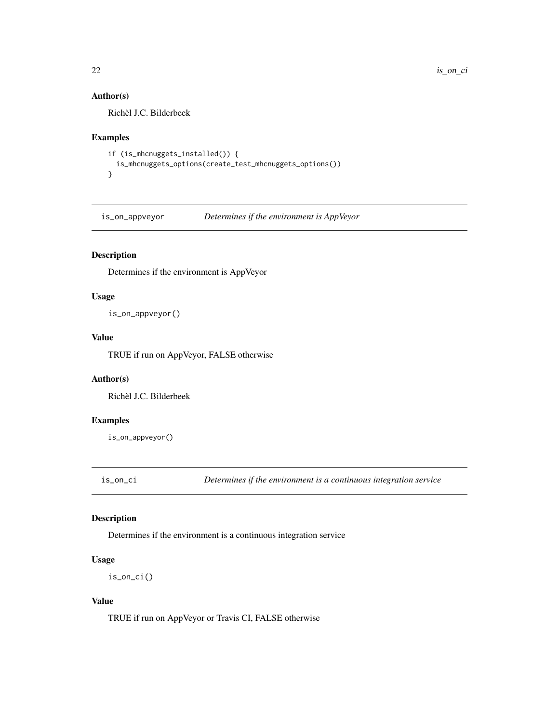## Author(s)

Richèl J.C. Bilderbeek

## Examples

```
if (is_mhcnuggets_installed()) {
 is_mhcnuggets_options(create_test_mhcnuggets_options())
}
```
is\_on\_appveyor *Determines if the environment is AppVeyor*

## Description

Determines if the environment is AppVeyor

## Usage

is\_on\_appveyor()

#### Value

TRUE if run on AppVeyor, FALSE otherwise

## Author(s)

Richèl J.C. Bilderbeek

## Examples

is\_on\_appveyor()

is\_on\_ci *Determines if the environment is a continuous integration service*

## Description

Determines if the environment is a continuous integration service

## Usage

is\_on\_ci()

#### Value

TRUE if run on AppVeyor or Travis CI, FALSE otherwise

<span id="page-21-0"></span>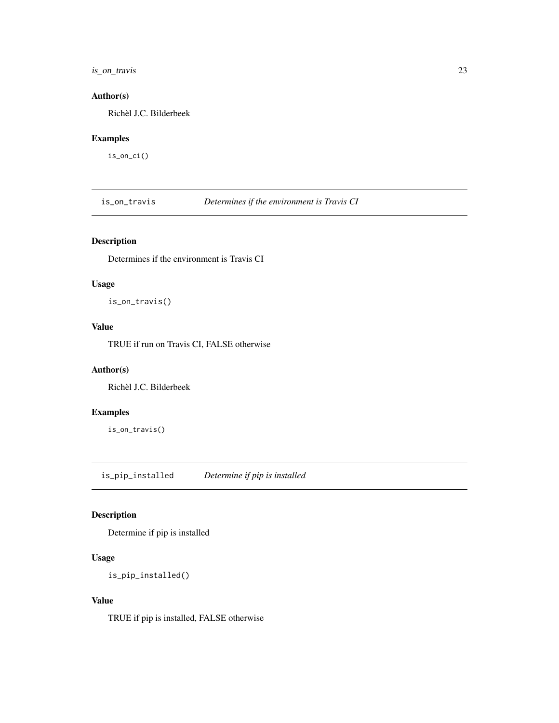## <span id="page-22-0"></span>is\_on\_travis 23

## Author(s)

Richèl J.C. Bilderbeek

## Examples

is\_on\_ci()

is\_on\_travis *Determines if the environment is Travis CI*

## Description

Determines if the environment is Travis CI

## Usage

is\_on\_travis()

## Value

TRUE if run on Travis CI, FALSE otherwise

#### Author(s)

Richèl J.C. Bilderbeek

## Examples

is\_on\_travis()

is\_pip\_installed *Determine if pip is installed*

## Description

Determine if pip is installed

## Usage

```
is_pip_installed()
```
#### Value

TRUE if pip is installed, FALSE otherwise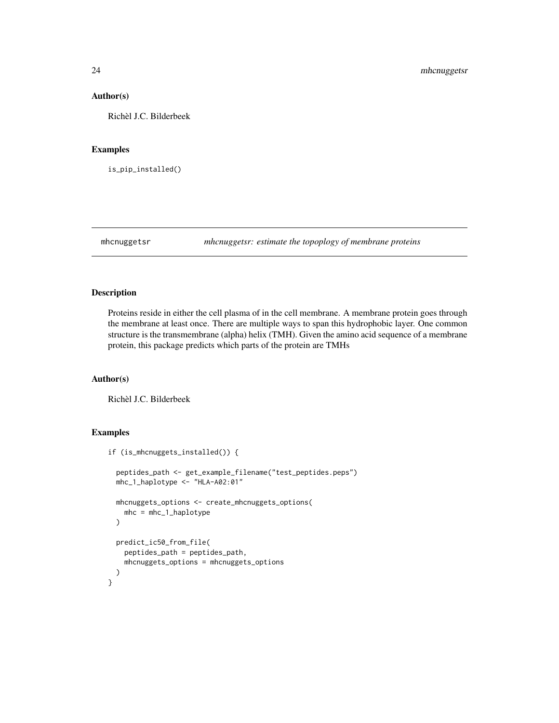#### Author(s)

Richèl J.C. Bilderbeek

#### Examples

is\_pip\_installed()

<span id="page-23-1"></span>mhcnuggetsr *mhcnuggetsr: estimate the topoplogy of membrane proteins*

## Description

Proteins reside in either the cell plasma of in the cell membrane. A membrane protein goes through the membrane at least once. There are multiple ways to span this hydrophobic layer. One common structure is the transmembrane (alpha) helix (TMH). Given the amino acid sequence of a membrane protein, this package predicts which parts of the protein are TMHs

## Author(s)

Richèl J.C. Bilderbeek

## Examples

```
if (is_mhcnuggets_installed()) {
 peptides_path <- get_example_filename("test_peptides.peps")
 mhc_1_haplotype <- "HLA-A02:01"
 mhcnuggets_options <- create_mhcnuggets_options(
   mhc = mhc_1_haplotype
 )
 predict_ic50_from_file(
   peptides_path = peptides_path,
   mhcnuggets_options = mhcnuggets_options
 )
}
```
<span id="page-23-0"></span>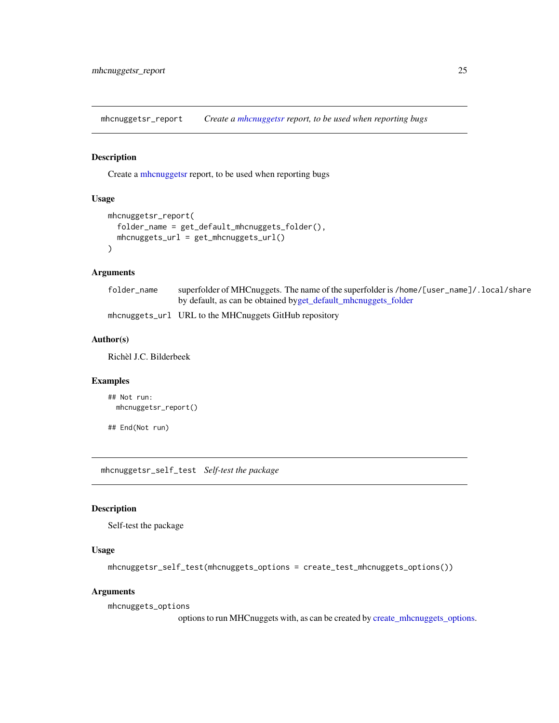<span id="page-24-0"></span>mhcnuggetsr\_report *Create a [mhcnuggetsr](#page-23-1) report, to be used when reporting bugs*

#### Description

Create a [mhcnuggetsr](#page-23-1) report, to be used when reporting bugs

#### Usage

```
mhcnuggetsr_report(
  folder_name = get_default_mhcnuggets_folder(),
 mhcnuggets_url = get_mhcnuggets_url()
\mathcal{L}
```
#### Arguments

| folder_name | superfolder of MHCnuggets. The name of the superfolder is /home/[user_name]/.local/share |
|-------------|------------------------------------------------------------------------------------------|
|             | by default, as can be obtained byget_default_mhcnuggets_folder                           |

mhcnuggets\_url URL to the MHCnuggets GitHub repository

#### Author(s)

Richèl J.C. Bilderbeek

#### Examples

```
## Not run:
 mhcnuggetsr_report()
```
## End(Not run)

mhcnuggetsr\_self\_test *Self-test the package*

#### Description

Self-test the package

#### Usage

```
mhcnuggetsr_self_test(mhcnuggets_options = create_test_mhcnuggets_options())
```
#### Arguments

mhcnuggets\_options

options to run MHCnuggets with, as can be created by [create\\_mhcnuggets\\_options.](#page-5-1)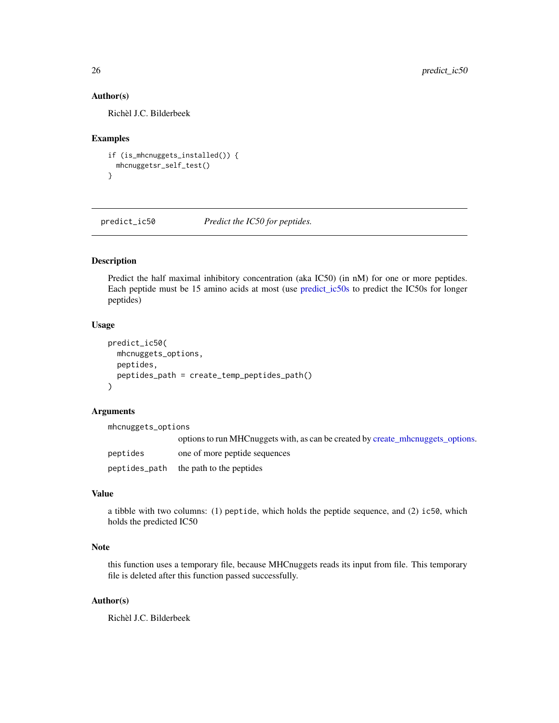#### Author(s)

Richèl J.C. Bilderbeek

#### Examples

```
if (is_mhcnuggets_installed()) {
 mhcnuggetsr_self_test()
}
```
predict\_ic50 *Predict the IC50 for peptides.*

## Description

Predict the half maximal inhibitory concentration (aka IC50) (in nM) for one or more peptides. Each peptide must be 15 amino acids at most (use [predict\\_ic50s](#page-26-1) to predict the IC50s for longer peptides)

#### Usage

```
predict_ic50(
 mhcnuggets_options,
 peptides,
  peptides_path = create_temp_peptides_path()
)
```
## Arguments

| mhcnuggets_options |                                                                                   |
|--------------------|-----------------------------------------------------------------------------------|
|                    | options to run MHC nuggets with, as can be created by create mhc nuggets options. |
| peptides           | one of more peptide sequences                                                     |
|                    | peptides_path the path to the peptides                                            |

#### Value

a tibble with two columns: (1) peptide, which holds the peptide sequence, and (2) ic50, which holds the predicted IC50

## Note

this function uses a temporary file, because MHCnuggets reads its input from file. This temporary file is deleted after this function passed successfully.

#### Author(s)

Richèl J.C. Bilderbeek

<span id="page-25-0"></span>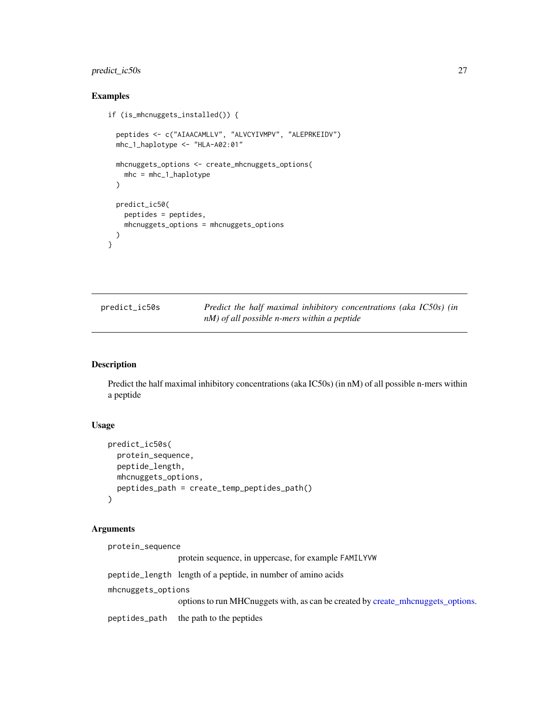## <span id="page-26-0"></span>predict\_ic50s 27

## Examples

```
if (is_mhcnuggets_installed()) {
 peptides <- c("AIAACAMLLV", "ALVCYIVMPV", "ALEPRKEIDV")
 mhc_1_haplotype <- "HLA-A02:01"
 mhcnuggets_options <- create_mhcnuggets_options(
   mhc = mhc_1_haplotype
 )
 predict_ic50(
   peptides = peptides,
   mhcnuggets_options = mhcnuggets_options
 )
}
```
<span id="page-26-1"></span>

| predict_ic50s | Predict the half maximal inhibitory concentrations (aka IC50s) (in |
|---------------|--------------------------------------------------------------------|
|               | $nM$ ) of all possible n-mers within a peptide                     |

## Description

Predict the half maximal inhibitory concentrations (aka IC50s) (in nM) of all possible n-mers within a peptide

## Usage

```
predict_ic50s(
 protein_sequence,
 peptide_length,
 mhcnuggets_options,
 peptides_path = create_temp_peptides_path()
)
```
## Arguments

| protein_sequence   |                                                                                   |
|--------------------|-----------------------------------------------------------------------------------|
|                    | protein sequence, in uppercase, for example FAMILYVW                              |
|                    | peptide_length length of a peptide, in number of amino acids                      |
| mhcnuggets_options |                                                                                   |
|                    | options to run MHC nuggets with, as can be created by create mhc nuggets options. |
|                    | peptides_path the path to the peptides                                            |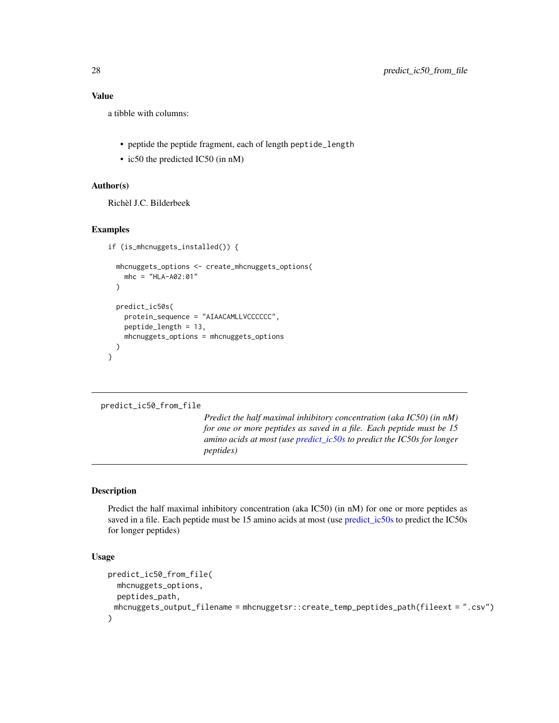## Value

a tibble with columns:

- peptide the peptide fragment, each of length peptide\_length
- ic50 the predicted IC50 (in nM)

#### Author(s)

Richèl J.C. Bilderbeek

#### Examples

```
if (is_mhcnuggets_installed()) {
 mhcnuggets_options <- create_mhcnuggets_options(
   mhc = "HLA-A02:01"
 )
 predict_ic50s(
   protein_sequence = "AIAACAMLLVCCCCCC",
   peptide_length = 13,
   mhcnuggets_options = mhcnuggets_options
 )
}
```
#### predict\_ic50\_from\_file

*Predict the half maximal inhibitory concentration (aka IC50) (in nM) for one or more peptides as saved in a file. Each peptide must be 15 amino acids at most (use [predict\\_ic50s](#page-26-1) to predict the IC50s for longer peptides)*

#### Description

Predict the half maximal inhibitory concentration (aka IC50) (in nM) for one or more peptides as saved in a file. Each peptide must be 15 amino acids at most (use [predict\\_ic50s](#page-26-1) to predict the IC50s for longer peptides)

#### Usage

```
predict_ic50_from_file(
  mhcnuggets_options,
  peptides_path,
 mhcnuggets_output_filename = mhcnuggetsr::create_temp_peptides_path(fileext = ".csv")
)
```
<span id="page-27-0"></span>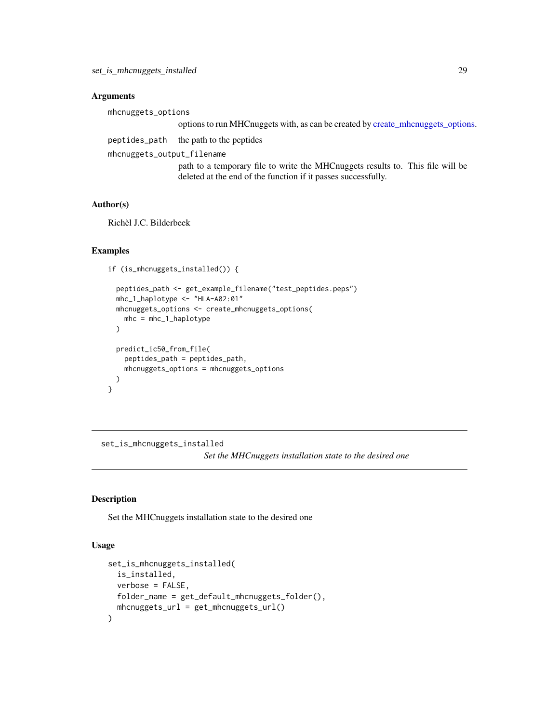#### <span id="page-28-0"></span>**Arguments**

mhcnuggets\_options

options to run MHCnuggets with, as can be created by [create\\_mhcnuggets\\_options.](#page-5-1)

peptides\_path the path to the peptides

mhcnuggets\_output\_filename

path to a temporary file to write the MHCnuggets results to. This file will be deleted at the end of the function if it passes successfully.

#### Author(s)

Richèl J.C. Bilderbeek

#### Examples

```
if (is_mhcnuggets_installed()) {
```

```
peptides_path <- get_example_filename("test_peptides.peps")
mhc_1_haplotype <- "HLA-A02:01"
mhcnuggets_options <- create_mhcnuggets_options(
 mhc = mhc_1_haplotype
)
predict_ic50_from_file(
  peptides_path = peptides_path,
  mhcnuggets_options = mhcnuggets_options
)
```
set\_is\_mhcnuggets\_installed

*Set the MHCnuggets installation state to the desired one*

#### Description

}

Set the MHCnuggets installation state to the desired one

#### Usage

```
set_is_mhcnuggets_installed(
 is_installed,
 verbose = FALSE,
 folder_name = get_default_mhcnuggets_folder(),
 mhcnuggets_url = get_mhcnuggets_url()
)
```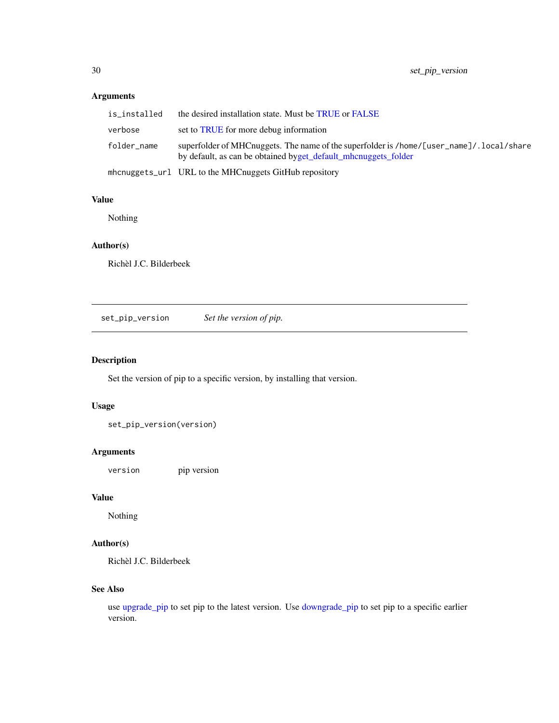## <span id="page-29-0"></span>Arguments

| is installed | the desired installation state. Must be TRUE or FALSE                                                                                                       |
|--------------|-------------------------------------------------------------------------------------------------------------------------------------------------------------|
| verbose      | set to TRUE for more debug information                                                                                                                      |
| folder name  | superfolder of MHCnuggets. The name of the superfolder is /home/[user_name]/. local/share<br>by default, as can be obtained byget_default_mhcnuggets_folder |
|              | mhcnuggets_url URL to the MHCnuggets GitHub repository                                                                                                      |

#### Value

Nothing

## Author(s)

Richèl J.C. Bilderbeek

<span id="page-29-1"></span>set\_pip\_version *Set the version of pip.*

## Description

Set the version of pip to a specific version, by installing that version.

## Usage

set\_pip\_version(version)

## Arguments

version pip version

## Value

Nothing

## Author(s)

Richèl J.C. Bilderbeek

#### See Also

use [upgrade\\_pip](#page-33-1) to set pip to the latest version. Use [downgrade\\_pip](#page-9-1) to set pip to a specific earlier version.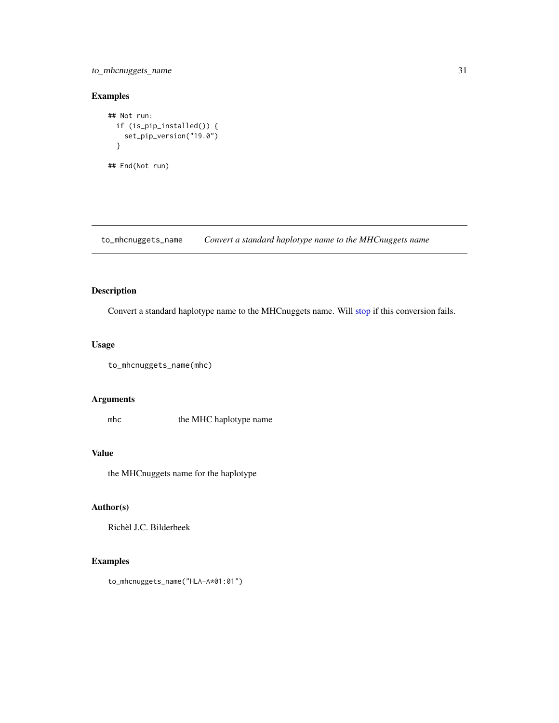## <span id="page-30-0"></span>to\_mhcnuggets\_name 31

## Examples

```
## Not run:
 if (is_pip_installed()) {
   set_pip_version("19.0")
  }
## End(Not run)
```
to\_mhcnuggets\_name *Convert a standard haplotype name to the MHCnuggets name*

## Description

Convert a standard haplotype name to the MHCnuggets name. Will [stop](#page-0-0) if this conversion fails.

#### Usage

```
to_mhcnuggets_name(mhc)
```
## Arguments

mhc the MHC haplotype name

## Value

the MHCnuggets name for the haplotype

## Author(s)

Richèl J.C. Bilderbeek

#### Examples

to\_mhcnuggets\_name("HLA-A\*01:01")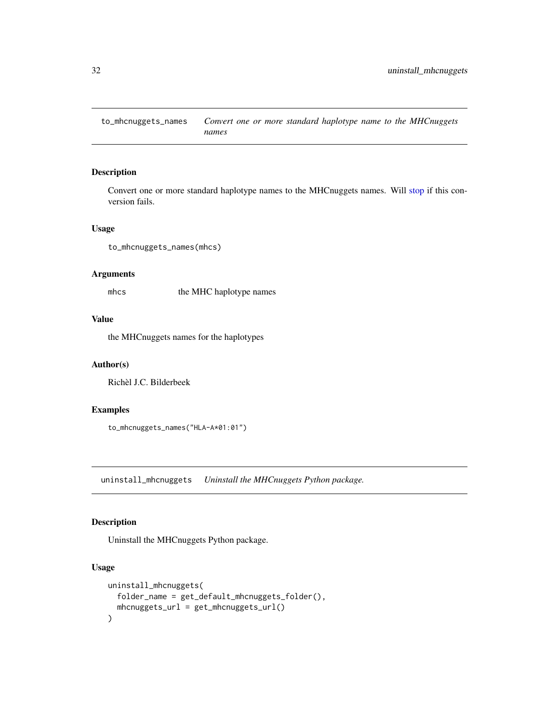<span id="page-31-0"></span>to\_mhcnuggets\_names *Convert one or more standard haplotype name to the MHCnuggets names*

#### Description

Convert one or more standard haplotype names to the MHCnuggets names. Will [stop](#page-0-0) if this conversion fails.

#### Usage

to\_mhcnuggets\_names(mhcs)

#### Arguments

mhcs the MHC haplotype names

#### Value

the MHCnuggets names for the haplotypes

#### Author(s)

Richèl J.C. Bilderbeek

#### Examples

to\_mhcnuggets\_names("HLA-A\*01:01")

uninstall\_mhcnuggets *Uninstall the MHCnuggets Python package.*

## Description

Uninstall the MHCnuggets Python package.

#### Usage

```
uninstall_mhcnuggets(
  folder_name = get_default_mhcnuggets_folder(),
  mhcnuggets_url = get_mhcnuggets_url()
\mathcal{E}
```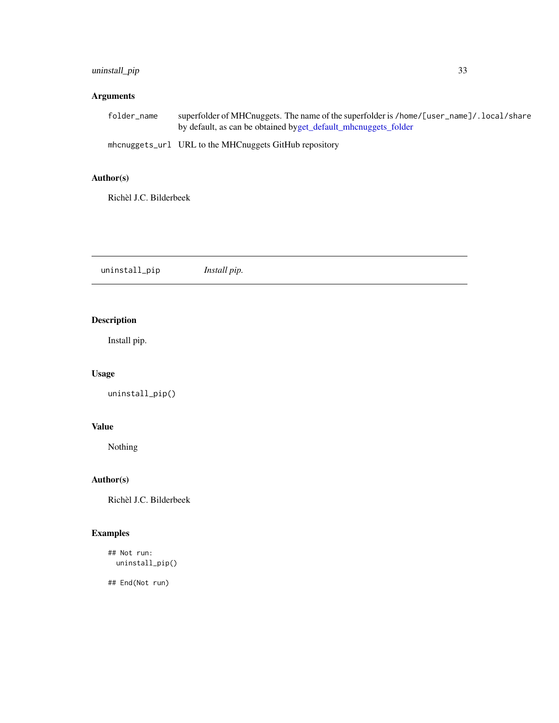## <span id="page-32-0"></span>uninstall\_pip 33

## Arguments

| folder name | superfolder of MHCnuggets. The name of the superfolder is /home/[user_name]/. local/share |
|-------------|-------------------------------------------------------------------------------------------|
|             | by default, as can be obtained byget_default_mhcnuggets_folder                            |
|             | mhcnuggets_url URL to the MHCnuggets GitHub repository                                    |

## Author(s)

Richèl J.C. Bilderbeek

uninstall\_pip *Install pip.*

## Description

Install pip.

## Usage

uninstall\_pip()

## Value

Nothing

## Author(s)

Richèl J.C. Bilderbeek

## Examples

```
## Not run:
  uninstall_pip()
```
## End(Not run)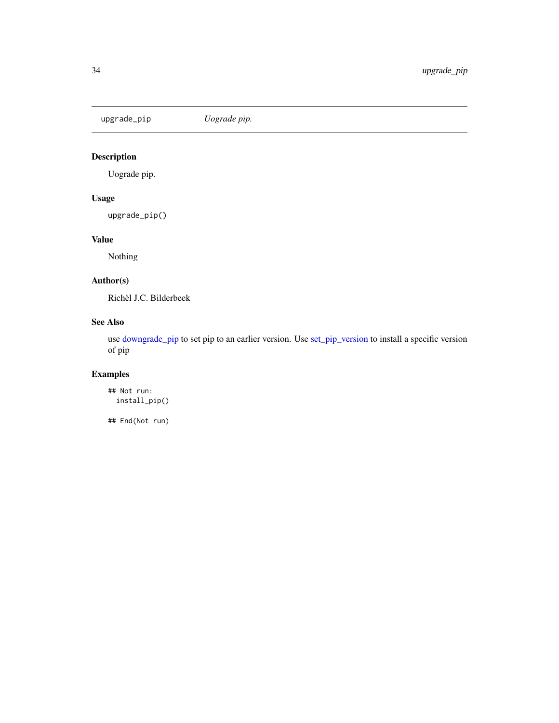<span id="page-33-1"></span><span id="page-33-0"></span>upgrade\_pip *Uograde pip.*

## Description

Uograde pip.

## Usage

upgrade\_pip()

## Value

Nothing

## Author(s)

Richèl J.C. Bilderbeek

## See Also

use [downgrade\\_pip](#page-9-1) to set pip to an earlier version. Use [set\\_pip\\_version](#page-29-1) to install a specific version of pip

## Examples

## Not run: install\_pip()

## End(Not run)